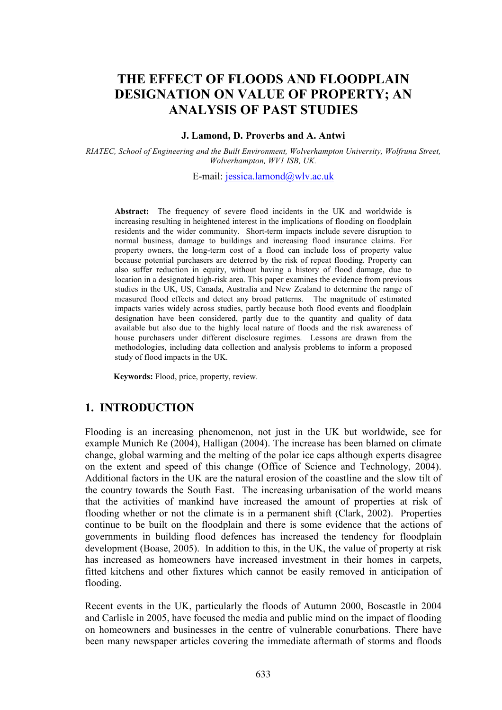# THE EFFECT OF FLOODS AND FLOODPLAIN DESIGNATION ON VALUE OF PROPERTY; AN ANALYSIS OF PAST STUDIES

#### J. Lamond, D. Proverbs and A. Antwi

RIATEC, School of Engineering and the Built Environment, Wolverhampton University, Wolfruna Street, Wolverhampton, WV1 ISB, UK.

E-mail: jessica.lamond@wlv.ac.uk

Abstract: The frequency of severe flood incidents in the UK and worldwide is increasing resulting in heightened interest in the implications of flooding on floodplain residents and the wider community. Short-term impacts include severe disruption to normal business, damage to buildings and increasing flood insurance claims. For property owners, the long-term cost of a flood can include loss of property value because potential purchasers are deterred by the risk of repeat flooding. Property can also suffer reduction in equity, without having a history of flood damage, due to location in a designated high-risk area. This paper examines the evidence from previous studies in the UK, US, Canada, Australia and New Zealand to determine the range of measured flood effects and detect any broad patterns. The magnitude of estimated impacts varies widely across studies, partly because both flood events and floodplain designation have been considered, partly due to the quantity and quality of data available but also due to the highly local nature of floods and the risk awareness of house purchasers under different disclosure regimes. Lessons are drawn from the methodologies, including data collection and analysis problems to inform a proposed study of flood impacts in the UK.

Keywords: Flood, price, property, review.

#### 1. INTRODUCTION

Flooding is an increasing phenomenon, not just in the UK but worldwide, see for example Munich Re (2004), Halligan (2004). The increase has been blamed on climate change, global warming and the melting of the polar ice caps although experts disagree on the extent and speed of this change (Office of Science and Technology, 2004). Additional factors in the UK are the natural erosion of the coastline and the slow tilt of the country towards the South East. The increasing urbanisation of the world means that the activities of mankind have increased the amount of properties at risk of flooding whether or not the climate is in a permanent shift (Clark, 2002). Properties continue to be built on the floodplain and there is some evidence that the actions of governments in building flood defences has increased the tendency for floodplain development (Boase, 2005). In addition to this, in the UK, the value of property at risk has increased as homeowners have increased investment in their homes in carpets, fitted kitchens and other fixtures which cannot be easily removed in anticipation of flooding.

Recent events in the UK, particularly the floods of Autumn 2000, Boscastle in 2004 and Carlisle in 2005, have focused the media and public mind on the impact of flooding on homeowners and businesses in the centre of vulnerable conurbations. There have been many newspaper articles covering the immediate aftermath of storms and floods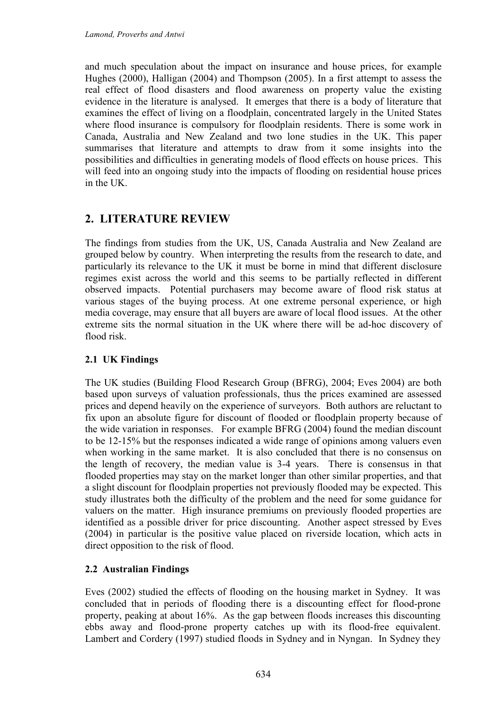and much speculation about the impact on insurance and house prices, for example Hughes (2000), Halligan (2004) and Thompson (2005). In a first attempt to assess the real effect of flood disasters and flood awareness on property value the existing evidence in the literature is analysed. It emerges that there is a body of literature that examines the effect of living on a floodplain, concentrated largely in the United States where flood insurance is compulsory for floodplain residents. There is some work in Canada, Australia and New Zealand and two lone studies in the UK. This paper summarises that literature and attempts to draw from it some insights into the possibilities and difficulties in generating models of flood effects on house prices. This will feed into an ongoing study into the impacts of flooding on residential house prices in the UK.

# 2. LITERATURE REVIEW

The findings from studies from the UK, US, Canada Australia and New Zealand are grouped below by country. When interpreting the results from the research to date, and particularly its relevance to the UK it must be borne in mind that different disclosure regimes exist across the world and this seems to be partially reflected in different observed impacts. Potential purchasers may become aware of flood risk status at various stages of the buying process. At one extreme personal experience, or high media coverage, may ensure that all buyers are aware of local flood issues. At the other extreme sits the normal situation in the UK where there will be ad-hoc discovery of flood risk.

### 2.1 UK Findings

The UK studies (Building Flood Research Group (BFRG), 2004; Eves 2004) are both based upon surveys of valuation professionals, thus the prices examined are assessed prices and depend heavily on the experience of surveyors. Both authors are reluctant to fix upon an absolute figure for discount of flooded or floodplain property because of the wide variation in responses. For example BFRG (2004) found the median discount to be 12-15% but the responses indicated a wide range of opinions among valuers even when working in the same market. It is also concluded that there is no consensus on the length of recovery, the median value is 3-4 years. There is consensus in that flooded properties may stay on the market longer than other similar properties, and that a slight discount for floodplain properties not previously flooded may be expected. This study illustrates both the difficulty of the problem and the need for some guidance for valuers on the matter. High insurance premiums on previously flooded properties are identified as a possible driver for price discounting. Another aspect stressed by Eves (2004) in particular is the positive value placed on riverside location, which acts in direct opposition to the risk of flood.

#### 2.2 Australian Findings

Eves (2002) studied the effects of flooding on the housing market in Sydney. It was concluded that in periods of flooding there is a discounting effect for flood-prone property, peaking at about 16%. As the gap between floods increases this discounting ebbs away and flood-prone property catches up with its flood-free equivalent. Lambert and Cordery (1997) studied floods in Sydney and in Nyngan. In Sydney they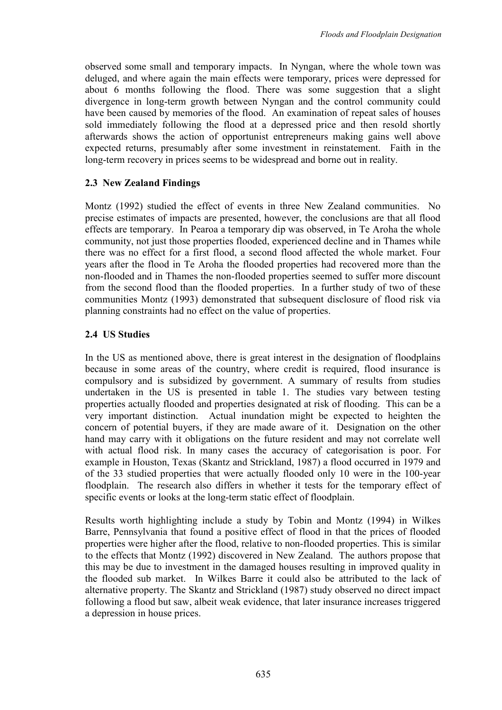observed some small and temporary impacts. In Nyngan, where the whole town was deluged, and where again the main effects were temporary, prices were depressed for about 6 months following the flood. There was some suggestion that a slight divergence in long-term growth between Nyngan and the control community could have been caused by memories of the flood. An examination of repeat sales of houses sold immediately following the flood at a depressed price and then resold shortly afterwards shows the action of opportunist entrepreneurs making gains well above expected returns, presumably after some investment in reinstatement. Faith in the long-term recovery in prices seems to be widespread and borne out in reality.

### 2.3 New Zealand Findings

Montz (1992) studied the effect of events in three New Zealand communities. No precise estimates of impacts are presented, however, the conclusions are that all flood effects are temporary. In Pearoa a temporary dip was observed, in Te Aroha the whole community, not just those properties flooded, experienced decline and in Thames while there was no effect for a first flood, a second flood affected the whole market. Four years after the flood in Te Aroha the flooded properties had recovered more than the non-flooded and in Thames the non-flooded properties seemed to suffer more discount from the second flood than the flooded properties. In a further study of two of these communities Montz (1993) demonstrated that subsequent disclosure of flood risk via planning constraints had no effect on the value of properties.

### 2.4 US Studies

In the US as mentioned above, there is great interest in the designation of floodplains because in some areas of the country, where credit is required, flood insurance is compulsory and is subsidized by government. A summary of results from studies undertaken in the US is presented in table 1. The studies vary between testing properties actually flooded and properties designated at risk of flooding. This can be a very important distinction. Actual inundation might be expected to heighten the concern of potential buyers, if they are made aware of it. Designation on the other hand may carry with it obligations on the future resident and may not correlate well with actual flood risk. In many cases the accuracy of categorisation is poor. For example in Houston, Texas (Skantz and Strickland, 1987) a flood occurred in 1979 and of the 33 studied properties that were actually flooded only 10 were in the 100-year floodplain. The research also differs in whether it tests for the temporary effect of specific events or looks at the long-term static effect of floodplain.

Results worth highlighting include a study by Tobin and Montz (1994) in Wilkes Barre, Pennsylvania that found a positive effect of flood in that the prices of flooded properties were higher after the flood, relative to non-flooded properties. This is similar to the effects that Montz (1992) discovered in New Zealand. The authors propose that this may be due to investment in the damaged houses resulting in improved quality in the flooded sub market. In Wilkes Barre it could also be attributed to the lack of alternative property. The Skantz and Strickland (1987) study observed no direct impact following a flood but saw, albeit weak evidence, that later insurance increases triggered a depression in house prices.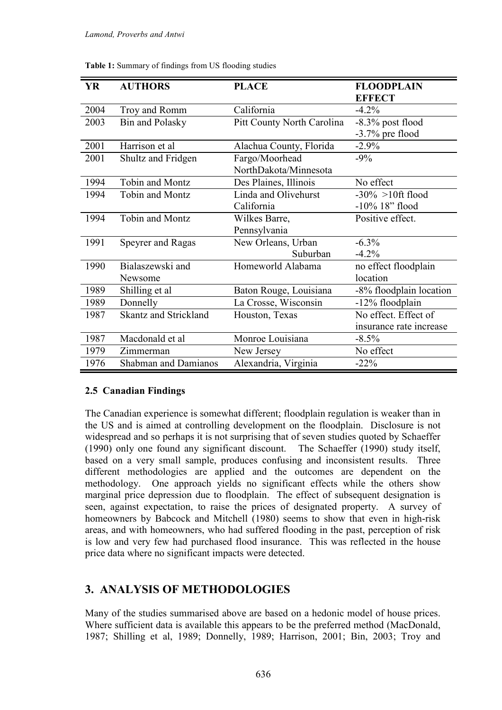| YR   | <b>AUTHORS</b>               | <b>PLACE</b>                      | <b>FLOODPLAIN</b>       |
|------|------------------------------|-----------------------------------|-------------------------|
|      |                              |                                   | <b>EFFECT</b>           |
| 2004 | Troy and Romm                | California                        | $-4.2\%$                |
| 2003 | Bin and Polasky              | <b>Pitt County North Carolina</b> | $-8.3\%$ post flood     |
|      |                              |                                   | $-3.7\%$ pre flood      |
| 2001 | Harrison et al               | Alachua County, Florida           | $-2.9\%$                |
| 2001 | Shultz and Fridgen           | Fargo/Moorhead                    | $-9\%$                  |
|      |                              | NorthDakota/Minnesota             |                         |
| 1994 | Tobin and Montz              | Des Plaines, Illinois             | No effect               |
| 1994 | Tobin and Montz              | Linda and Olivehurst              | $-30\% > 10$ ft flood   |
|      |                              | California                        | $-10\%$ 18" flood       |
| 1994 | Tobin and Montz              | Wilkes Barre,                     | Positive effect.        |
|      |                              | Pennsylvania                      |                         |
| 1991 | <b>Speyrer and Ragas</b>     | New Orleans, Urban                | $-6.3\%$                |
|      |                              | Suburban                          | $-4.2%$                 |
| 1990 | Bialaszewski and             | Homeworld Alabama                 | no effect floodplain    |
|      | Newsome                      |                                   | location                |
| 1989 | Shilling et al               | Baton Rouge, Louisiana            | -8% floodplain location |
| 1989 | Donnelly                     | La Crosse, Wisconsin              | -12% floodplain         |
| 1987 | <b>Skantz and Strickland</b> | Houston, Texas                    | No effect. Effect of    |
|      |                              |                                   | insurance rate increase |
| 1987 | Macdonald et al              | Monroe Louisiana                  | $-8.5\%$                |
| 1979 | Zimmerman                    | New Jersey                        | No effect               |
| 1976 | <b>Shabman and Damianos</b>  | Alexandria, Virginia              | $-22\%$                 |

Table 1: Summary of findings from US flooding studies

#### 2.5 Canadian Findings

The Canadian experience is somewhat different; floodplain regulation is weaker than in the US and is aimed at controlling development on the floodplain. Disclosure is not widespread and so perhaps it is not surprising that of seven studies quoted by Schaeffer (1990) only one found any significant discount. The Schaeffer (1990) study itself, based on a very small sample, produces confusing and inconsistent results. Three different methodologies are applied and the outcomes are dependent on the methodology. One approach yields no significant effects while the others show marginal price depression due to floodplain. The effect of subsequent designation is seen, against expectation, to raise the prices of designated property. A survey of homeowners by Babcock and Mitchell (1980) seems to show that even in high-risk areas, and with homeowners, who had suffered flooding in the past, perception of risk is low and very few had purchased flood insurance. This was reflected in the house price data where no significant impacts were detected.

## 3. ANALYSIS OF METHODOLOGIES

Many of the studies summarised above are based on a hedonic model of house prices. Where sufficient data is available this appears to be the preferred method (MacDonald, 1987; Shilling et al, 1989; Donnelly, 1989; Harrison, 2001; Bin, 2003; Troy and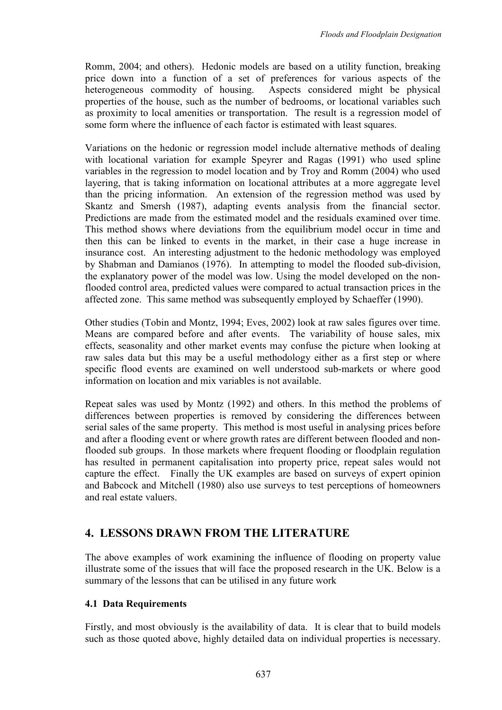Romm, 2004; and others). Hedonic models are based on a utility function, breaking price down into a function of a set of preferences for various aspects of the heterogeneous commodity of housing. Aspects considered might be physical properties of the house, such as the number of bedrooms, or locational variables such as proximity to local amenities or transportation. The result is a regression model of some form where the influence of each factor is estimated with least squares.

Variations on the hedonic or regression model include alternative methods of dealing with locational variation for example Speyrer and Ragas (1991) who used spline variables in the regression to model location and by Troy and Romm (2004) who used layering, that is taking information on locational attributes at a more aggregate level than the pricing information. An extension of the regression method was used by Skantz and Smersh (1987), adapting events analysis from the financial sector. Predictions are made from the estimated model and the residuals examined over time. This method shows where deviations from the equilibrium model occur in time and then this can be linked to events in the market, in their case a huge increase in insurance cost. An interesting adjustment to the hedonic methodology was employed by Shabman and Damianos (1976). In attempting to model the flooded sub-division, the explanatory power of the model was low. Using the model developed on the nonflooded control area, predicted values were compared to actual transaction prices in the affected zone. This same method was subsequently employed by Schaeffer (1990).

Other studies (Tobin and Montz, 1994; Eves, 2002) look at raw sales figures over time. Means are compared before and after events. The variability of house sales, mix effects, seasonality and other market events may confuse the picture when looking at raw sales data but this may be a useful methodology either as a first step or where specific flood events are examined on well understood sub-markets or where good information on location and mix variables is not available.

Repeat sales was used by Montz (1992) and others. In this method the problems of differences between properties is removed by considering the differences between serial sales of the same property. This method is most useful in analysing prices before and after a flooding event or where growth rates are different between flooded and nonflooded sub groups. In those markets where frequent flooding or floodplain regulation has resulted in permanent capitalisation into property price, repeat sales would not capture the effect. Finally the UK examples are based on surveys of expert opinion and Babcock and Mitchell (1980) also use surveys to test perceptions of homeowners and real estate valuers.

# 4. LESSONS DRAWN FROM THE LITERATURE

The above examples of work examining the influence of flooding on property value illustrate some of the issues that will face the proposed research in the UK. Below is a summary of the lessons that can be utilised in any future work

## 4.1 Data Requirements

Firstly, and most obviously is the availability of data. It is clear that to build models such as those quoted above, highly detailed data on individual properties is necessary.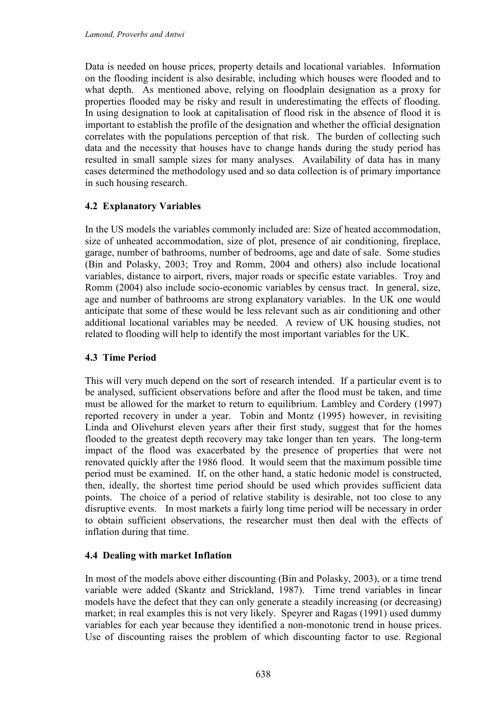Data is needed on house prices, property details and locational variables. Information on the flooding incident is also desirable, including which houses were flooded and to what depth. As mentioned above, relying on floodplain designation as a proxy for properties flooded may be risky and result in underestimating the effects of flooding. In using designation to look at capitalisation of flood risk in the absence of flood it is important to establish the profile of the designation and whether the official designation correlates with the populations perception of that risk. The burden of collecting such data and the necessity that houses have to change hands during the study period has resulted in small sample sizes for many analyses. Availability of data has in many cases determined the methodology used and so data collection is of primary importance in such housing research.

### 4.2 Explanatory Variables

In the US models the variables commonly included are: Size of heated accommodation, size of unheated accommodation, size of plot, presence of air conditioning, fireplace, garage, number of bathrooms, number of bedrooms, age and date of sale. Some studies (Bin and Polasky, 2003; Troy and Romm, 2004 and others) also include locational variables, distance to airport, rivers, major roads or specific estate variables. Troy and Romm (2004) also include socio-economic variables by census tract. In general, size, age and number of bathrooms are strong explanatory variables. In the UK one would anticipate that some of these would be less relevant such as air conditioning and other additional locational variables may be needed. A review of UK housing studies, not related to flooding will help to identify the most important variables for the UK.

#### 4.3 Time Period

This will very much depend on the sort of research intended. If a particular event is to be analysed, sufficient observations before and after the flood must be taken, and time must be allowed for the market to return to equilibrium. Lambley and Cordery (1997) reported recovery in under a year. Tobin and Montz (1995) however, in revisiting Linda and Olivehurst eleven years after their first study, suggest that for the homes flooded to the greatest depth recovery may take longer than ten years. The long-term impact of the flood was exacerbated by the presence of properties that were not renovated quickly after the 1986 flood. It would seem that the maximum possible time period must be examined. If, on the other hand, a static hedonic model is constructed, then, ideally, the shortest time period should be used which provides sufficient data points. The choice of a period of relative stability is desirable, not too close to any disruptive events. In most markets a fairly long time period will be necessary in order to obtain sufficient observations, the researcher must then deal with the effects of inflation during that time.

#### 4.4 Dealing with market Inflation

In most of the models above either discounting (Bin and Polasky, 2003), or a time trend variable were added (Skantz and Strickland, 1987). Time trend variables in linear models have the defect that they can only generate a steadily increasing (or decreasing) market; in real examples this is not very likely. Speyrer and Ragas (1991) used dummy variables for each year because they identified a non-monotonic trend in house prices. Use of discounting raises the problem of which discounting factor to use. Regional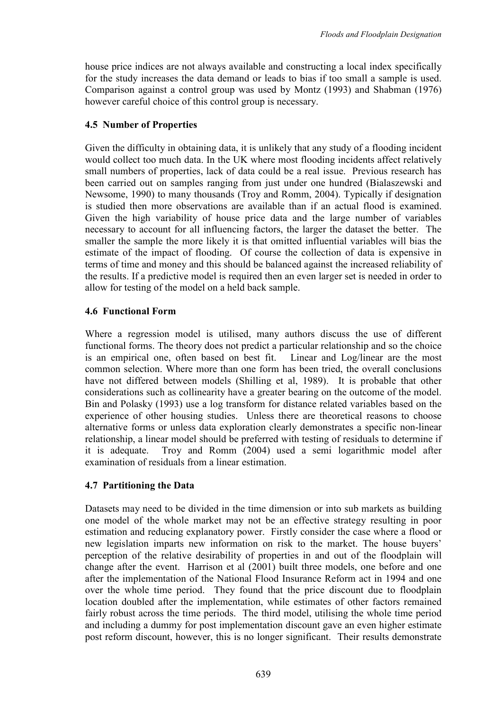house price indices are not always available and constructing a local index specifically for the study increases the data demand or leads to bias if too small a sample is used. Comparison against a control group was used by Montz (1993) and Shabman (1976) however careful choice of this control group is necessary.

# 4.5 Number of Properties

Given the difficulty in obtaining data, it is unlikely that any study of a flooding incident would collect too much data. In the UK where most flooding incidents affect relatively small numbers of properties, lack of data could be a real issue. Previous research has been carried out on samples ranging from just under one hundred (Bialaszewski and Newsome, 1990) to many thousands (Troy and Romm, 2004). Typically if designation is studied then more observations are available than if an actual flood is examined. Given the high variability of house price data and the large number of variables necessary to account for all influencing factors, the larger the dataset the better. The smaller the sample the more likely it is that omitted influential variables will bias the estimate of the impact of flooding. Of course the collection of data is expensive in terms of time and money and this should be balanced against the increased reliability of the results. If a predictive model is required then an even larger set is needed in order to allow for testing of the model on a held back sample.

# 4.6 Functional Form

Where a regression model is utilised, many authors discuss the use of different functional forms. The theory does not predict a particular relationship and so the choice is an empirical one, often based on best fit. Linear and Log/linear are the most common selection. Where more than one form has been tried, the overall conclusions have not differed between models (Shilling et al, 1989). It is probable that other considerations such as collinearity have a greater bearing on the outcome of the model. Bin and Polasky (1993) use a log transform for distance related variables based on the experience of other housing studies. Unless there are theoretical reasons to choose alternative forms or unless data exploration clearly demonstrates a specific non-linear relationship, a linear model should be preferred with testing of residuals to determine if it is adequate. Troy and Romm (2004) used a semi logarithmic model after examination of residuals from a linear estimation.

# 4.7 Partitioning the Data

Datasets may need to be divided in the time dimension or into sub markets as building one model of the whole market may not be an effective strategy resulting in poor estimation and reducing explanatory power. Firstly consider the case where a flood or new legislation imparts new information on risk to the market. The house buyers' perception of the relative desirability of properties in and out of the floodplain will change after the event. Harrison et al (2001) built three models, one before and one after the implementation of the National Flood Insurance Reform act in 1994 and one over the whole time period. They found that the price discount due to floodplain location doubled after the implementation, while estimates of other factors remained fairly robust across the time periods. The third model, utilising the whole time period and including a dummy for post implementation discount gave an even higher estimate post reform discount, however, this is no longer significant. Their results demonstrate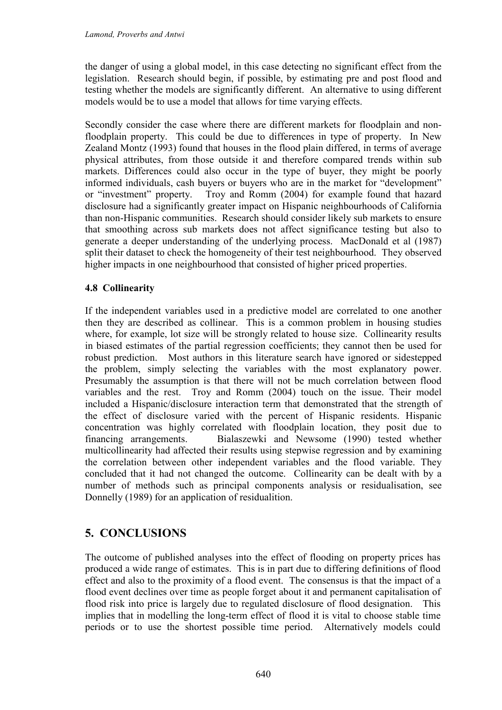the danger of using a global model, in this case detecting no significant effect from the legislation. Research should begin, if possible, by estimating pre and post flood and testing whether the models are significantly different. An alternative to using different models would be to use a model that allows for time varying effects.

Secondly consider the case where there are different markets for floodplain and nonfloodplain property. This could be due to differences in type of property. In New Zealand Montz (1993) found that houses in the flood plain differed, in terms of average physical attributes, from those outside it and therefore compared trends within sub markets. Differences could also occur in the type of buyer, they might be poorly informed individuals, cash buyers or buyers who are in the market for "development" or "investment" property. Troy and Romm (2004) for example found that hazard disclosure had a significantly greater impact on Hispanic neighbourhoods of California than non-Hispanic communities. Research should consider likely sub markets to ensure that smoothing across sub markets does not affect significance testing but also to generate a deeper understanding of the underlying process. MacDonald et al (1987) split their dataset to check the homogeneity of their test neighbourhood. They observed higher impacts in one neighbourhood that consisted of higher priced properties.

#### 4.8 Collinearity

If the independent variables used in a predictive model are correlated to one another then they are described as collinear. This is a common problem in housing studies where, for example, lot size will be strongly related to house size. Collinearity results in biased estimates of the partial regression coefficients; they cannot then be used for robust prediction. Most authors in this literature search have ignored or sidestepped the problem, simply selecting the variables with the most explanatory power. Presumably the assumption is that there will not be much correlation between flood variables and the rest. Troy and Romm (2004) touch on the issue. Their model included a Hispanic/disclosure interaction term that demonstrated that the strength of the effect of disclosure varied with the percent of Hispanic residents. Hispanic concentration was highly correlated with floodplain location, they posit due to financing arrangements. Bialaszewki and Newsome (1990) tested whether multicollinearity had affected their results using stepwise regression and by examining the correlation between other independent variables and the flood variable. They concluded that it had not changed the outcome. Collinearity can be dealt with by a number of methods such as principal components analysis or residualisation, see Donnelly (1989) for an application of residualition.

# 5. CONCLUSIONS

The outcome of published analyses into the effect of flooding on property prices has produced a wide range of estimates. This is in part due to differing definitions of flood effect and also to the proximity of a flood event. The consensus is that the impact of a flood event declines over time as people forget about it and permanent capitalisation of flood risk into price is largely due to regulated disclosure of flood designation. This implies that in modelling the long-term effect of flood it is vital to choose stable time periods or to use the shortest possible time period. Alternatively models could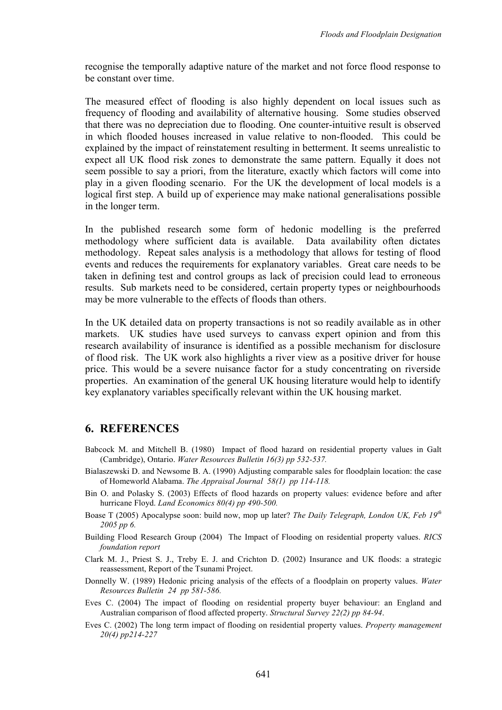recognise the temporally adaptive nature of the market and not force flood response to be constant over time.

The measured effect of flooding is also highly dependent on local issues such as frequency of flooding and availability of alternative housing. Some studies observed that there was no depreciation due to flooding. One counter-intuitive result is observed in which flooded houses increased in value relative to non-flooded. This could be explained by the impact of reinstatement resulting in betterment. It seems unrealistic to expect all UK flood risk zones to demonstrate the same pattern. Equally it does not seem possible to say a priori, from the literature, exactly which factors will come into play in a given flooding scenario. For the UK the development of local models is a logical first step. A build up of experience may make national generalisations possible in the longer term.

In the published research some form of hedonic modelling is the preferred methodology where sufficient data is available. Data availability often dictates methodology. Repeat sales analysis is a methodology that allows for testing of flood events and reduces the requirements for explanatory variables. Great care needs to be taken in defining test and control groups as lack of precision could lead to erroneous results. Sub markets need to be considered, certain property types or neighbourhoods may be more vulnerable to the effects of floods than others.

In the UK detailed data on property transactions is not so readily available as in other markets. UK studies have used surveys to canvass expert opinion and from this research availability of insurance is identified as a possible mechanism for disclosure of flood risk. The UK work also highlights a river view as a positive driver for house price. This would be a severe nuisance factor for a study concentrating on riverside properties. An examination of the general UK housing literature would help to identify key explanatory variables specifically relevant within the UK housing market.

#### 6. REFERENCES

- Babcock M. and Mitchell B. (1980) Impact of flood hazard on residential property values in Galt (Cambridge), Ontario. Water Resources Bulletin 16(3) pp 532-537.
- Bialaszewski D. and Newsome B. A. (1990) Adjusting comparable sales for floodplain location: the case of Homeworld Alabama. The Appraisal Journal 58(1) pp 114-118.
- Bin O. and Polasky S. (2003) Effects of flood hazards on property values: evidence before and after hurricane Floyd. Land Economics 80(4) pp 490-500.
- Boase T (2005) Apocalypse soon: build now, mop up later? The Daily Telegraph, London UK, Feb 19<sup>th</sup> 2005 pp 6.
- Building Flood Research Group (2004) The Impact of Flooding on residential property values. RICS foundation report
- Clark M. J., Priest S. J., Treby E. J. and Crichton D. (2002) Insurance and UK floods: a strategic reassessment, Report of the Tsunami Project.
- Donnelly W. (1989) Hedonic pricing analysis of the effects of a floodplain on property values. Water Resources Bulletin 24 pp 581-586.
- Eves C. (2004) The impact of flooding on residential property buyer behaviour: an England and Australian comparison of flood affected property. Structural Survey 22(2) pp 84-94.
- Eves C. (2002) The long term impact of flooding on residential property values. Property management 20(4) pp214-227